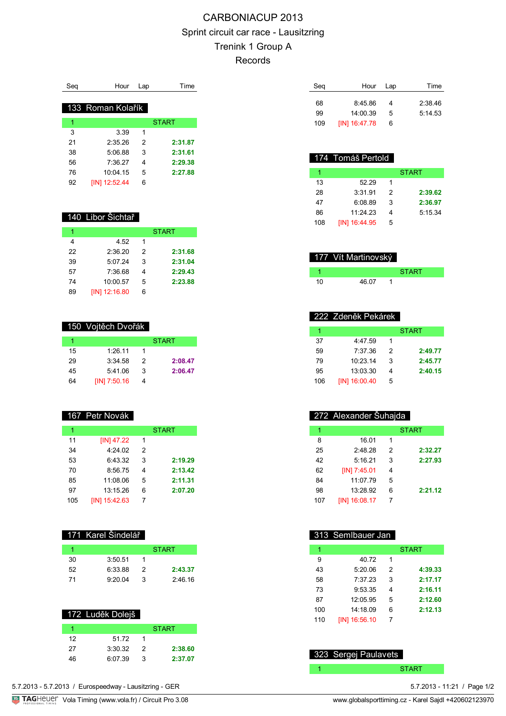# CARBONIACUP 2013 Sprint circuit car race - Lausitzring Trenink 1 Group A Records

| Sea | Hour              | Lap | Time         |
|-----|-------------------|-----|--------------|
|     | 133 Roman Kolařík |     |              |
| 1   |                   |     | <b>START</b> |
| 3   | 3.39              | 1   |              |
| 21  | 2.3526            | 2   | 2:31.87      |
| 38  | 5.06.88           | 3   | 2:31.61      |
| 56  | 7:36.27           | 4   | 2:29.38      |
| 76  | 10:04:15          | 5   | 2:27.88      |
| 92  | $[IN]$ 12:52.44   | 6   |              |

### 140 Libor Šichtař

| 1  |                      |   | <b>START</b> |
|----|----------------------|---|--------------|
| 4  | 4.52                 | 1 |              |
| 22 | 2:36.20              | 2 | 2:31.68      |
| 39 | 5:07.24              | 3 | 2:31.04      |
| 57 | 7:36.68              | 4 | 2:29.43      |
| 74 | 10:00.57             | 5 | 2:23.88      |
| 89 | <b>IIN1 12:16.80</b> | 6 |              |

### 150 Vojtěch Dvořák

|    |              |   | <b>START</b> |
|----|--------------|---|--------------|
| 15 | 1:26.11      |   |              |
| 29 | 3:34.58      | 2 | 2:08.47      |
| 45 | 5:41.06      | з | 2:06.47      |
| 64 | [IN] 7:50.16 |   |              |

### 167 Petr Novák

| 1   |               |   | <b>START</b> |
|-----|---------------|---|--------------|
| 11  | $[IN]$ 47.22  | 1 |              |
| 34  | 4:24.02       | 2 |              |
| 53  | 6:43.32       | 3 | 2:19.29      |
| 70  | 8:56.75       | 4 | 2:13.42      |
| 85  | 11:08.06      | 5 | 2:11.31      |
| 97  | 13:15.26      | 6 | 2:07.20      |
| 105 | [IN] 15:42.63 | 7 |              |

### 171 Karel Šindelář

|    |         |   | <b>START</b> |
|----|---------|---|--------------|
| 30 | 3:50.51 |   |              |
| 52 | 6:33.88 | 2 | 2:43.37      |
| 71 | 9:20.04 | 3 | 2:46.16      |

### 172 Luděk Dolejš

|    |         |   | <b>START</b> |
|----|---------|---|--------------|
| 12 | 51 72   |   |              |
| 27 | 3.30.32 | 2 | 2:38.60      |
| 46 | 6:07.39 | з | 2:37.07      |

| Seg | Hour          | Lap | Time    |
|-----|---------------|-----|---------|
| 68  | 8:45.86       |     | 2:38.46 |
| 99  | 14:00.39      | 5   | 5:14.53 |
| 109 | [IN] 16:47.78 | 6   |         |

## 174 Tomáš Pertold

|     |               |   | <b>START</b> |
|-----|---------------|---|--------------|
| 13  | 52.29         | 1 |              |
| 28  | 3:31.91       | 2 | 2:39.62      |
| 47  | 6:08.89       | 3 | 2:36.97      |
| 86  | 11.2423       |   | 5:15.34      |
| 108 | [IN] 16:44.95 | 5 |              |

|    | 177 Vít Martinovský |              |
|----|---------------------|--------------|
|    |                     | <b>START</b> |
| 10 | 46.07               |              |

## 222 Zdeněk Pekárek

|     |               |   | <b>START</b> |
|-----|---------------|---|--------------|
| 37  | 4:47.59       | 1 |              |
| 59  | 7.37.36       | 2 | 2:49.77      |
| 79  | 10:23:14      | 3 | 2:45.77      |
| 95  | 13:03:30      | 4 | 2:40.15      |
| 106 | [IN] 16:00.40 | 5 |              |

## 272 Alexander Šuhajda

| 1   |               |   | <b>START</b> |
|-----|---------------|---|--------------|
| 8   | 16.01         | 1 |              |
| 25  | 2:48.28       | 2 | 2:32.27      |
| 42  | 5:16.21       | 3 | 2:27.93      |
| 62  | [IN] 7:45.01  | 4 |              |
| 84  | 11:07.79      | 5 |              |
| 98  | 13:28.92      | 6 | 2:21.12      |
| 107 | [IN] 16:08.17 | 7 |              |
|     |               |   |              |

## 313 Semlbauer Jan

| 1   |               |   | <b>START</b> |
|-----|---------------|---|--------------|
| 9   | 40.72         | 1 |              |
| 43  | 5:20.06       | 2 | 4:39.33      |
| 58  | 7:37.23       | 3 | 2:17.17      |
| 73  | 9:53.35       | 4 | 2:16.11      |
| 87  | 12:05.95      | 5 | 2:12.60      |
| 100 | 14:18.09      | 6 | 2:12.13      |
| 110 | [IN] 16:56.10 | 7 |              |

## 323 Sergej Paulavets

1 START START

<sup>5.7.2013 - 11:21 /</sup> Page 1/2